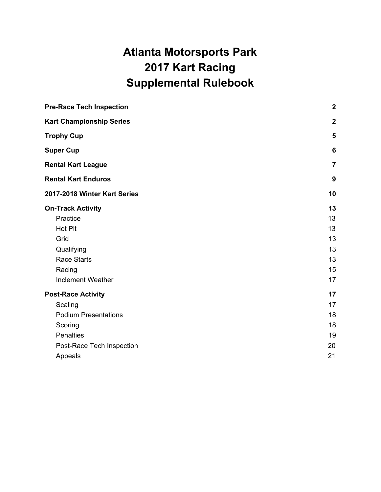# **Atlanta Motorsports Park 2017 Kart Racing Supplemental Rulebook**

| <b>Pre-Race Tech Inspection</b><br><b>Kart Championship Series</b><br><b>Trophy Cup</b><br><b>Super Cup</b><br><b>Rental Kart League</b><br><b>Rental Kart Enduros</b><br>2017-2018 Winter Kart Series | $\boldsymbol{2}$        |
|--------------------------------------------------------------------------------------------------------------------------------------------------------------------------------------------------------|-------------------------|
|                                                                                                                                                                                                        | $\boldsymbol{2}$        |
|                                                                                                                                                                                                        | 5                       |
|                                                                                                                                                                                                        | 6                       |
|                                                                                                                                                                                                        | $\overline{\mathbf{7}}$ |
|                                                                                                                                                                                                        | 9                       |
|                                                                                                                                                                                                        | 10                      |
| <b>On-Track Activity</b>                                                                                                                                                                               | 13                      |
| Practice                                                                                                                                                                                               | 13                      |
| <b>Hot Pit</b>                                                                                                                                                                                         | 13                      |
| Grid                                                                                                                                                                                                   | 13                      |
| Qualifying                                                                                                                                                                                             | 13                      |
| <b>Race Starts</b>                                                                                                                                                                                     | 13                      |
| Racing                                                                                                                                                                                                 | 15                      |
| <b>Inclement Weather</b>                                                                                                                                                                               | 17                      |
| <b>Post-Race Activity</b>                                                                                                                                                                              | 17                      |
| Scaling                                                                                                                                                                                                | 17                      |
| <b>Podium Presentations</b>                                                                                                                                                                            | 18                      |
| Scoring                                                                                                                                                                                                | 18                      |
| Penalties                                                                                                                                                                                              | 19                      |
| Post-Race Tech Inspection                                                                                                                                                                              | 20                      |
| Appeals                                                                                                                                                                                                | 21                      |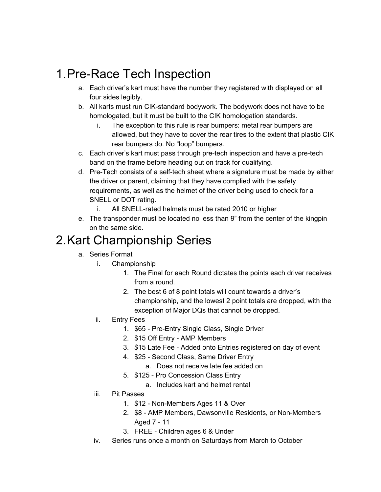# <span id="page-1-0"></span>1.Pre-Race Tech Inspection

- a. Each driver's kart must have the number they registered with displayed on all four sides legibly.
- b. All karts must run CIK-standard bodywork. The bodywork does not have to be homologated, but it must be built to the CIK homologation standards.
	- i. The exception to this rule is rear bumpers: metal rear bumpers are allowed, but they have to cover the rear tires to the extent that plastic CIK rear bumpers do. No "loop" bumpers.
- c. Each driver's kart must pass through pre-tech inspection and have a pre-tech band on the frame before heading out on track for qualifying.
- d. Pre-Tech consists of a self-tech sheet where a signature must be made by either the driver or parent, claiming that they have complied with the safety requirements, as well as the helmet of the driver being used to check for a SNELL or DOT rating.
	- i. All SNELL-rated helmets must be rated 2010 or higher
- e. The transponder must be located no less than 9" from the center of the kingpin on the same side.

# <span id="page-1-1"></span>2.Kart Championship Series

- a. Series Format
	- i. Championship
		- 1. The Final for each Round dictates the points each driver receives from a round.
		- 2. The best 6 of 8 point totals will count towards a driver's championship, and the lowest 2 point totals are dropped, with the exception of Major DQs that cannot be dropped.
	- ii. Entry Fees
		- 1. \$65 Pre-Entry Single Class, Single Driver
		- 2. \$15 Off Entry AMP Members
		- 3. \$15 Late Fee Added onto Entries registered on day of event
		- 4. \$25 Second Class, Same Driver Entry
			- a. Does not receive late fee added on
		- 5. \$125 Pro Concession Class Entry
			- a. Includes kart and helmet rental
	- iii. Pit Passes
		- 1. \$12 Non-Members Ages 11 & Over
		- 2. \$8 AMP Members, Dawsonville Residents, or Non-Members Aged 7 - 11
		- 3. FREE Children ages 6 & Under
	- iv. Series runs once a month on Saturdays from March to October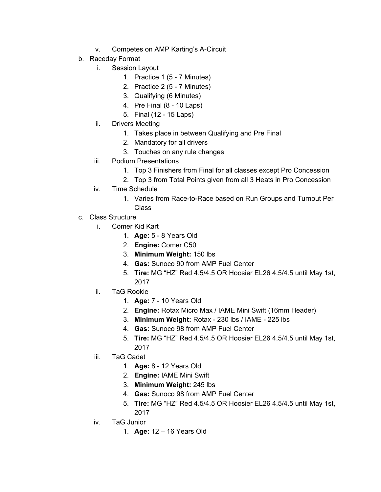- v. Competes on AMP Karting's A-Circuit
- b. Raceday Format
	- i. Session Layout
		- 1. Practice 1 (5 7 Minutes)
		- 2. Practice 2 (5 7 Minutes)
		- 3. Qualifying (6 Minutes)
		- 4. Pre Final (8 10 Laps)
		- 5. Final (12 15 Laps)
	- ii. Drivers Meeting
		- 1. Takes place in between Qualifying and Pre Final
		- 2. Mandatory for all drivers
		- 3. Touches on any rule changes
	- iii. Podium Presentations
		- 1. Top 3 Finishers from Final for all classes except Pro Concession
		- 2. Top 3 from Total Points given from all 3 Heats in Pro Concession
	- iv. Time Schedule
		- 1. Varies from Race-to-Race based on Run Groups and Turnout Per Class
- c. Class Structure
	- i. Comer Kid Kart
		- 1. **Age:** 5 8 Years Old
		- 2. **Engine:** Comer C50
		- 3. **Minimum Weight:** 150 lbs
		- 4. **Gas:** Sunoco 90 from AMP Fuel Center
		- 5. **Tire:** MG "HZ" Red 4.5/4.5 OR Hoosier EL26 4.5/4.5 until May 1st, 2017
	- ii. TaG Rookie
		- 1. **Age:** 7 10 Years Old
		- 2. **Engine:** Rotax Micro Max / IAME Mini Swift (16mm Header)
		- 3. **Minimum Weight:** Rotax 230 lbs / IAME 225 lbs
		- 4. **Gas:** Sunoco 98 from AMP Fuel Center
		- 5. **Tire:** MG "HZ" Red 4.5/4.5 OR Hoosier EL26 4.5/4.5 until May 1st, 2017
	- iii. TaG Cadet
		- 1. **Age:** 8 12 Years Old
		- 2. **Engine:** IAME Mini Swift
		- 3. **Minimum Weight:** 245 lbs
		- 4. **Gas:** Sunoco 98 from AMP Fuel Center
		- 5. **Tire:** MG "HZ" Red 4.5/4.5 OR Hoosier EL26 4.5/4.5 until May 1st, 2017
	- iv. TaG Junior
		- 1. **Age:** 12 16 Years Old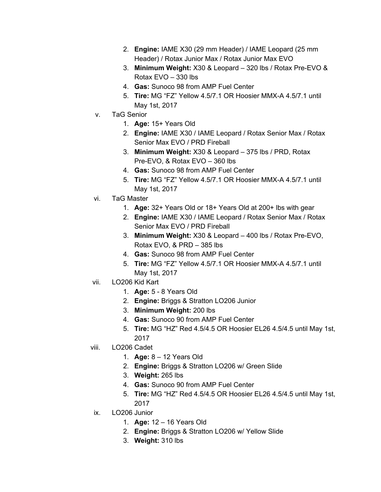- 2. **Engine:** IAME X30 (29 mm Header) / IAME Leopard (25 mm Header) / Rotax Junior Max / Rotax Junior Max EVO
- 3. **Minimum Weight:** X30 & Leopard 320 lbs / Rotax Pre-EVO & Rotax EVO – 330 lbs
- 4. **Gas:** Sunoco 98 from AMP Fuel Center
- 5. **Tire:** MG "FZ" Yellow 4.5/7.1 OR Hoosier MMX-A 4.5/7.1 until May 1st, 2017
- v. TaG Senior
	- 1. **Age:** 15+ Years Old
	- 2. **Engine:** IAME X30 / IAME Leopard / Rotax Senior Max / Rotax Senior Max EVO / PRD Fireball
	- 3. **Minimum Weight:** X30 & Leopard 375 lbs / PRD, Rotax Pre-EVO, & Rotax EVO – 360 lbs
	- 4. **Gas:** Sunoco 98 from AMP Fuel Center
	- 5. **Tire:** MG "FZ" Yellow 4.5/7.1 OR Hoosier MMX-A 4.5/7.1 until May 1st, 2017
- vi. TaG Master
	- 1. **Age:** 32+ Years Old or 18+ Years Old at 200+ lbs with gear
	- 2. **Engine:** IAME X30 / IAME Leopard / Rotax Senior Max / Rotax Senior Max EVO / PRD Fireball
	- 3. **Minimum Weight:** X30 & Leopard 400 lbs / Rotax Pre-EVO, Rotax EVO, & PRD – 385 lbs
	- 4. **Gas:** Sunoco 98 from AMP Fuel Center
	- 5. **Tire:** MG "FZ" Yellow 4.5/7.1 OR Hoosier MMX-A 4.5/7.1 until May 1st, 2017
- vii. LO206 Kid Kart
	- 1. **Age:** 5 8 Years Old
	- 2. **Engine:** Briggs & Stratton LO206 Junior
	- 3. **Minimum Weight:** 200 lbs
	- 4. **Gas:** Sunoco 90 from AMP Fuel Center
	- 5. **Tire:** MG "HZ" Red 4.5/4.5 OR Hoosier EL26 4.5/4.5 until May 1st, 2017
- viii. LO206 Cadet
	- 1. **Age:** 8 12 Years Old
	- 2. **Engine:** Briggs & Stratton LO206 w/ Green Slide
	- 3. **Weight:** 265 lbs
	- 4. **Gas:** Sunoco 90 from AMP Fuel Center
	- 5. **Tire:** MG "HZ" Red 4.5/4.5 OR Hoosier EL26 4.5/4.5 until May 1st, 2017
- ix. LO206 Junior
	- 1. **Age:** 12 16 Years Old
	- 2. **Engine:** Briggs & Stratton LO206 w/ Yellow Slide
	- 3. **Weight:** 310 lbs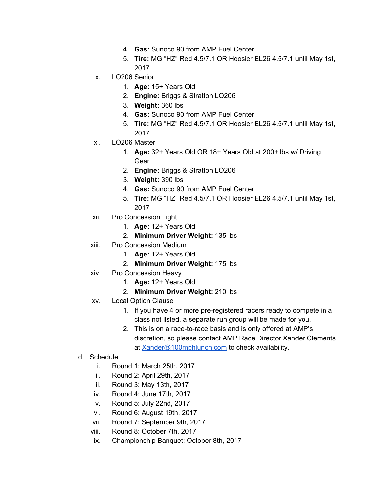- 4. **Gas:** Sunoco 90 from AMP Fuel Center
- 5. **Tire:** MG "HZ" Red 4.5/7.1 OR Hoosier EL26 4.5/7.1 until May 1st, 2017
- x. LO206 Senior
	- 1. **Age:** 15+ Years Old
	- 2. **Engine:** Briggs & Stratton LO206
	- 3. **Weight:** 360 lbs
	- 4. **Gas:** Sunoco 90 from AMP Fuel Center
	- 5. **Tire:** MG "HZ" Red 4.5/7.1 OR Hoosier EL26 4.5/7.1 until May 1st, 2017
- xi. LO206 Master
	- 1. **Age:** 32+ Years Old OR 18+ Years Old at 200+ lbs w/ Driving Gear
	- 2. **Engine:** Briggs & Stratton LO206
	- 3. **Weight:** 390 lbs
	- 4. **Gas:** Sunoco 90 from AMP Fuel Center
	- 5. **Tire:** MG "HZ" Red 4.5/7.1 OR Hoosier EL26 4.5/7.1 until May 1st, 2017
- xii. Pro Concession Light
	- 1. **Age:** 12+ Years Old
	- 2. **Minimum Driver Weight:** 135 lbs
- xiii. Pro Concession Medium
	- 1. **Age:** 12+ Years Old
	- 2. **Minimum Driver Weight:** 175 lbs
- xiv. Pro Concession Heavy
	- 1. **Age:** 12+ Years Old
	- 2. **Minimum Driver Weight:** 210 lbs
- xv. Local Option Clause
	- 1. If you have 4 or more pre-registered racers ready to compete in a class not listed, a separate run group will be made for you.
	- 2. This is on a race-to-race basis and is only offered at AMP's discretion, so please contact AMP Race Director Xander Clements at [Xander@100mphlunch.com](mailto:Xander@100mphlunch.com) to check availability.
- d. Schedule
	- i. Round 1: March 25th, 2017
	- ii. Round 2: April 29th, 2017
	- iii. Round 3: May 13th, 2017
	- iv. Round 4: June 17th, 2017
	- v. Round 5: July 22nd, 2017
	- vi. Round 6: August 19th, 2017
	- vii. Round 7: September 9th, 2017
	- viii. Round 8: October 7th, 2017
	- ix. Championship Banquet: October 8th, 2017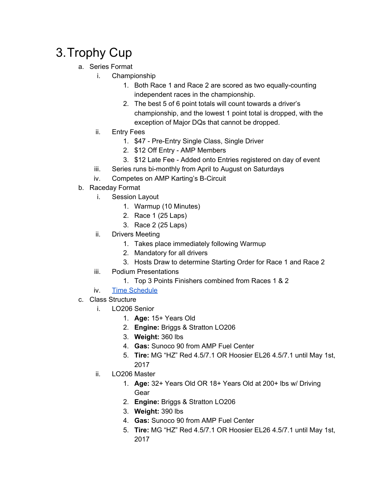# <span id="page-5-0"></span>3.Trophy Cup

- a. Series Format
	- i. Championship
		- 1. Both Race 1 and Race 2 are scored as two equally-counting independent races in the championship.
		- 2. The best 5 of 6 point totals will count towards a driver's championship, and the lowest 1 point total is dropped, with the exception of Major DQs that cannot be dropped.
	- ii. Entry Fees
		- 1. \$47 Pre-Entry Single Class, Single Driver
		- 2. \$12 Off Entry AMP Members
		- 3. \$12 Late Fee Added onto Entries registered on day of event
	- iii. Series runs bi-monthly from April to August on Saturdays
	- iv. Competes on AMP Karting's B-Circuit
- b. Raceday Format
	- i. Session Layout
		- 1. Warmup (10 Minutes)
		- 2. Race 1 (25 Laps)
		- 3. Race 2 (25 Laps)
	- ii. Drivers Meeting
		- 1. Takes place immediately following Warmup
		- 2. Mandatory for all drivers
		- 3. Hosts Draw to determine Starting Order for Race 1 and Race 2
	- iii. Podium Presentations
		- 1. Top 3 Points Finishers combined from Races 1 & 2
	- iv. Time [Schedule](http://atlantamotorsportspark.com/wp-content/uploads/2017/01/AMPTrophyCupSchedule.pdf)
- c. Class Structure
	- i. LO206 Senior
		- 1. **Age:** 15+ Years Old
		- 2. **Engine:** Briggs & Stratton LO206
		- 3. **Weight:** 360 lbs
		- 4. **Gas:** Sunoco 90 from AMP Fuel Center
		- 5. **Tire:** MG "HZ" Red 4.5/7.1 OR Hoosier EL26 4.5/7.1 until May 1st, 2017
	- ii. LO206 Master
		- 1. **Age:** 32+ Years Old OR 18+ Years Old at 200+ lbs w/ Driving Gear
		- 2. **Engine:** Briggs & Stratton LO206
		- 3. **Weight:** 390 lbs
		- 4. **Gas:** Sunoco 90 from AMP Fuel Center
		- 5. **Tire:** MG "HZ" Red 4.5/7.1 OR Hoosier EL26 4.5/7.1 until May 1st, 2017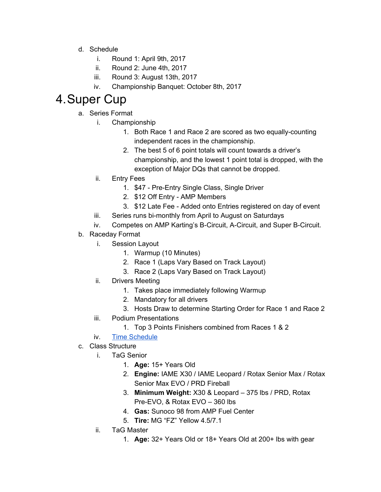- d. Schedule
	- i. Round 1: April 9th, 2017
	- ii. Round 2: June 4th, 2017
	- iii. Round 3: August 13th, 2017
	- iv. Championship Banquet: October 8th, 2017

# <span id="page-6-0"></span>4.Super Cup

- a. Series Format
	- i. Championship
		- 1. Both Race 1 and Race 2 are scored as two equally-counting independent races in the championship.
		- 2. The best 5 of 6 point totals will count towards a driver's championship, and the lowest 1 point total is dropped, with the exception of Major DQs that cannot be dropped.
	- ii. Entry Fees
		- 1. \$47 Pre-Entry Single Class, Single Driver
		- 2. \$12 Off Entry AMP Members
		- 3. \$12 Late Fee Added onto Entries registered on day of event
	- iii. Series runs bi-monthly from April to August on Saturdays
	- iv. Competes on AMP Karting's B-Circuit, A-Circuit, and Super B-Circuit.
- b. Raceday Format
	- i. Session Layout
		- 1. Warmup (10 Minutes)
		- 2. Race 1 (Laps Vary Based on Track Layout)
		- 3. Race 2 (Laps Vary Based on Track Layout)
	- ii. Drivers Meeting
		- 1. Takes place immediately following Warmup
		- 2. Mandatory for all drivers
		- 3. Hosts Draw to determine Starting Order for Race 1 and Race 2
	- iii. Podium Presentations
		- 1. Top 3 Points Finishers combined from Races 1 & 2
	- iv. Time [Schedule](http://atlantamotorsportspark.com/wp-content/uploads/2017/01/AMPSuperCupSchedule.pdf)

#### c. Class Structure

- i. TaG Senior
	- 1. **Age:** 15+ Years Old
	- 2. **Engine:** IAME X30 / IAME Leopard / Rotax Senior Max / Rotax Senior Max EVO / PRD Fireball
	- 3. **Minimum Weight:** X30 & Leopard 375 lbs / PRD, Rotax Pre-EVO, & Rotax EVO – 360 lbs
	- 4. **Gas:** Sunoco 98 from AMP Fuel Center
	- 5. **Tire:** MG "FZ" Yellow 4.5/7.1
- ii. TaG Master
	- 1. **Age:** 32+ Years Old or 18+ Years Old at 200+ lbs with gear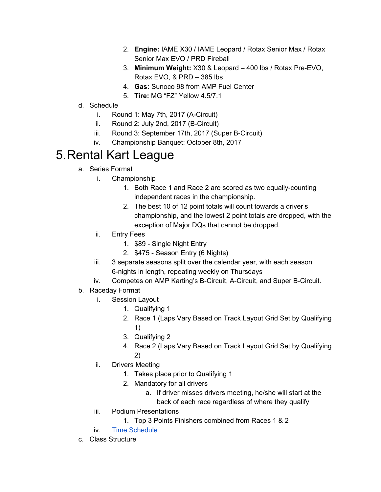- 2. **Engine:** IAME X30 / IAME Leopard / Rotax Senior Max / Rotax Senior Max EVO / PRD Fireball
- 3. **Minimum Weight:** X30 & Leopard 400 lbs / Rotax Pre-EVO, Rotax EVO, & PRD – 385 lbs
- 4. **Gas:** Sunoco 98 from AMP Fuel Center
- 5. **Tire:** MG "FZ" Yellow 4.5/7.1
- d. Schedule
	- i. Round 1: May 7th, 2017 (A-Circuit)
	- ii. Round 2: July 2nd, 2017 (B-Circuit)
	- iii. Round 3: September 17th, 2017 (Super B-Circuit)
	- iv. Championship Banquet: October 8th, 2017

# <span id="page-7-0"></span>5.Rental Kart League

- a. Series Format
	- i. Championship
		- 1. Both Race 1 and Race 2 are scored as two equally-counting independent races in the championship.
		- 2. The best 10 of 12 point totals will count towards a driver's championship, and the lowest 2 point totals are dropped, with the exception of Major DQs that cannot be dropped.
	- ii. Entry Fees
		- 1. \$89 Single Night Entry
		- 2. \$475 Season Entry (6 Nights)
	- iii. 3 separate seasons split over the calendar year, with each season 6-nights in length, repeating weekly on Thursdays
	- iv. Competes on AMP Karting's B-Circuit, A-Circuit, and Super B-Circuit.
- b. Raceday Format
	- i. Session Layout
		- 1. Qualifying 1
		- 2. Race 1 (Laps Vary Based on Track Layout Grid Set by Qualifying 1)
		- 3. Qualifying 2
		- 4. Race 2 (Laps Vary Based on Track Layout Grid Set by Qualifying 2)
	- ii. Drivers Meeting
		- 1. Takes place prior to Qualifying 1
		- 2. Mandatory for all drivers
			- a. If driver misses drivers meeting, he/she will start at the back of each race regardless of where they qualify
	- iii. Podium Presentations
		- 1. Top 3 Points Finishers combined from Races 1 & 2
	- iv. Time [Schedule](http://atlantamotorsportspark.com/wp-content/uploads/2017/01/AMPRentalKartLeagueSchedule.pdf)
- c. Class Structure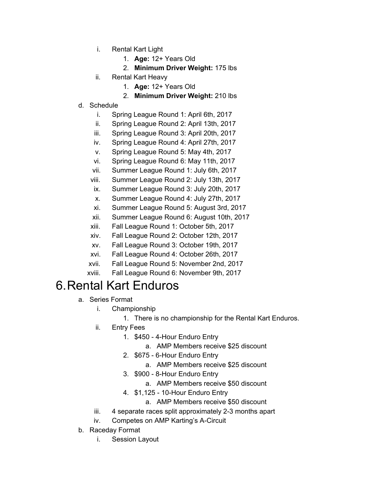- i. Rental Kart Light
	- 1. **Age:** 12+ Years Old
	- 2. **Minimum Driver Weight:** 175 lbs
- ii. Rental Kart Heavy
	- 1. **Age:** 12+ Years Old
	- 2. **Minimum Driver Weight:** 210 lbs
- d. Schedule
	- i. Spring League Round 1: April 6th, 2017
	- ii. Spring League Round 2: April 13th, 2017
	- iii. Spring League Round 3: April 20th, 2017
	- iv. Spring League Round 4: April 27th, 2017
	- v. Spring League Round 5: May 4th, 2017
	- vi. Spring League Round 6: May 11th, 2017
	- vii. Summer League Round 1: July 6th, 2017
	- viii. Summer League Round 2: July 13th, 2017
	- ix. Summer League Round 3: July 20th, 2017
	- x. Summer League Round 4: July 27th, 2017
	- xi. Summer League Round 5: August 3rd, 2017
	- xii. Summer League Round 6: August 10th, 2017
	- xiii. Fall League Round 1: October 5th, 2017
	- xiv. Fall League Round 2: October 12th, 2017
	- xv. Fall League Round 3: October 19th, 2017
	- xvi. Fall League Round 4: October 26th, 2017
	- xvii. Fall League Round 5: November 2nd, 2017
	- xviii. Fall League Round 6: November 9th, 2017

### <span id="page-8-0"></span>6.Rental Kart Enduros

- a. Series Format
	- i. Championship
		- 1. There is no championship for the Rental Kart Enduros.
	- ii. Entry Fees
		- 1. \$450 4-Hour Enduro Entry
			- a. AMP Members receive \$25 discount
		- 2. \$675 6-Hour Enduro Entry
			- a. AMP Members receive \$25 discount
		- 3. \$900 8-Hour Enduro Entry
			- a. AMP Members receive \$50 discount
		- 4. \$1,125 10-Hour Enduro Entry
			- a. AMP Members receive \$50 discount
	- iii. 4 separate races split approximately 2-3 months apart
	- iv. Competes on AMP Karting's A-Circuit
- b. Raceday Format
	- i. Session Layout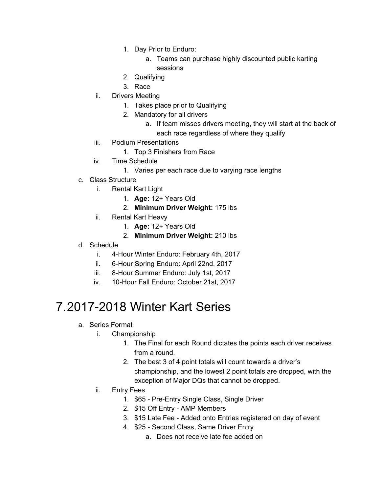- 1. Day Prior to Enduro:
	- a. Teams can purchase highly discounted public karting sessions
- 2. Qualifying
- 3. Race
- ii. Drivers Meeting
	- 1. Takes place prior to Qualifying
	- 2. Mandatory for all drivers
		- a. If team misses drivers meeting, they will start at the back of each race regardless of where they qualify
- iii. Podium Presentations
	- 1. Top 3 Finishers from Race
- iv. Time Schedule
	- 1. Varies per each race due to varying race lengths
- c. Class Structure
	- i. Rental Kart Light
		- 1. **Age:** 12+ Years Old
		- 2. **Minimum Driver Weight:** 175 lbs
	- ii. Rental Kart Heavy
		- 1. **Age:** 12+ Years Old
		- 2. **Minimum Driver Weight:** 210 lbs
- d. Schedule
	- i. 4-Hour Winter Enduro: February 4th, 2017
	- ii. 6-Hour Spring Enduro: April 22nd, 2017
	- iii. 8-Hour Summer Enduro: July 1st, 2017
	- iv. 10-Hour Fall Enduro: October 21st, 2017

## <span id="page-9-0"></span>7.2017-2018 Winter Kart Series

- a. Series Format
	- i. Championship
		- 1. The Final for each Round dictates the points each driver receives from a round.
		- 2. The best 3 of 4 point totals will count towards a driver's championship, and the lowest 2 point totals are dropped, with the exception of Major DQs that cannot be dropped.
	- ii. Entry Fees
		- 1. \$65 Pre-Entry Single Class, Single Driver
		- 2. \$15 Off Entry AMP Members
		- 3. \$15 Late Fee Added onto Entries registered on day of event
		- 4. \$25 Second Class, Same Driver Entry
			- a. Does not receive late fee added on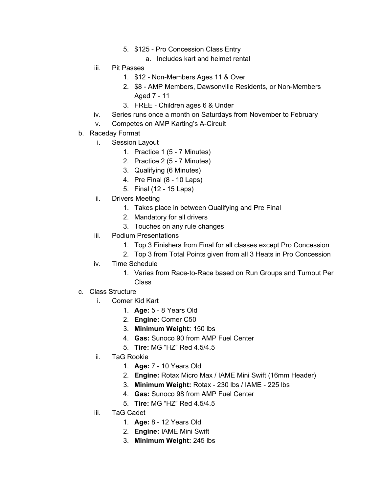- 5. \$125 Pro Concession Class Entry
	- a. Includes kart and helmet rental
- iii. Pit Passes
	- 1. \$12 Non-Members Ages 11 & Over
	- 2. \$8 AMP Members, Dawsonville Residents, or Non-Members Aged 7 - 11
	- 3. FREE Children ages 6 & Under
- iv. Series runs once a month on Saturdays from November to February
- v. Competes on AMP Karting's A-Circuit
- b. Raceday Format
	- i. Session Layout
		- 1. Practice 1 (5 7 Minutes)
		- 2. Practice 2 (5 7 Minutes)
		- 3. Qualifying (6 Minutes)
		- 4. Pre Final (8 10 Laps)
		- 5. Final (12 15 Laps)
	- ii. Drivers Meeting
		- 1. Takes place in between Qualifying and Pre Final
		- 2. Mandatory for all drivers
		- 3. Touches on any rule changes
	- iii. Podium Presentations
		- 1. Top 3 Finishers from Final for all classes except Pro Concession
		- 2. Top 3 from Total Points given from all 3 Heats in Pro Concession
	- iv. Time Schedule
		- 1. Varies from Race-to-Race based on Run Groups and Turnout Per Class
- c. Class Structure
	- i. Comer Kid Kart
		- 1. **Age:** 5 8 Years Old
		- 2. **Engine:** Comer C50
		- 3. **Minimum Weight:** 150 lbs
		- 4. **Gas:** Sunoco 90 from AMP Fuel Center
		- 5. **Tire:** MG "HZ" Red 4.5/4.5
	- ii. TaG Rookie
		- 1. **Age:** 7 10 Years Old
		- 2. **Engine:** Rotax Micro Max / IAME Mini Swift (16mm Header)
		- 3. **Minimum Weight:** Rotax 230 lbs / IAME 225 lbs
		- 4. **Gas:** Sunoco 98 from AMP Fuel Center
		- 5. **Tire:** MG "HZ" Red 4.5/4.5
	- iii. TaG Cadet
		- 1. **Age:** 8 12 Years Old
		- 2. **Engine:** IAME Mini Swift
		- 3. **Minimum Weight:** 245 lbs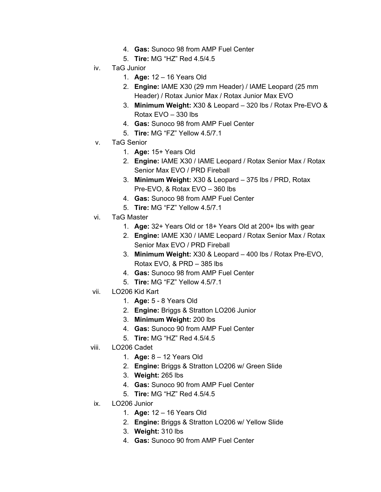- 4. **Gas:** Sunoco 98 from AMP Fuel Center
- 5. **Tire:** MG "HZ" Red 4.5/4.5
- iv. TaG Junior
	- 1. **Age:** 12 16 Years Old
	- 2. **Engine:** IAME X30 (29 mm Header) / IAME Leopard (25 mm Header) / Rotax Junior Max / Rotax Junior Max EVO
	- 3. **Minimum Weight:** X30 & Leopard 320 lbs / Rotax Pre-EVO & Rotax EVO – 330 lbs
	- 4. **Gas:** Sunoco 98 from AMP Fuel Center
	- 5. **Tire:** MG "FZ" Yellow 4.5/7.1
- v. TaG Senior
	- 1. **Age:** 15+ Years Old
	- 2. **Engine:** IAME X30 / IAME Leopard / Rotax Senior Max / Rotax Senior Max EVO / PRD Fireball
	- 3. **Minimum Weight:** X30 & Leopard 375 lbs / PRD, Rotax Pre-EVO, & Rotax EVO – 360 lbs
	- 4. **Gas:** Sunoco 98 from AMP Fuel Center
	- 5. **Tire:** MG "FZ" Yellow 4.5/7.1
- vi. TaG Master
	- 1. **Age:** 32+ Years Old or 18+ Years Old at 200+ lbs with gear
	- 2. **Engine:** IAME X30 / IAME Leopard / Rotax Senior Max / Rotax Senior Max EVO / PRD Fireball
	- 3. **Minimum Weight:** X30 & Leopard 400 lbs / Rotax Pre-EVO, Rotax EVO, & PRD – 385 lbs
	- 4. **Gas:** Sunoco 98 from AMP Fuel Center
	- 5. **Tire:** MG "FZ" Yellow 4.5/7.1
- vii. LO206 Kid Kart
	- 1. **Age:** 5 8 Years Old
	- 2. **Engine:** Briggs & Stratton LO206 Junior
	- 3. **Minimum Weight:** 200 lbs
	- 4. **Gas:** Sunoco 90 from AMP Fuel Center
	- 5. **Tire:** MG "HZ" Red 4.5/4.5
- viii. LO206 Cadet
	- 1. **Age:** 8 12 Years Old
	- 2. **Engine:** Briggs & Stratton LO206 w/ Green Slide
	- 3. **Weight:** 265 lbs
	- 4. **Gas:** Sunoco 90 from AMP Fuel Center
	- 5. **Tire:** MG "HZ" Red 4.5/4.5
- ix. LO206 Junior
	- 1. **Age:** 12 16 Years Old
	- 2. **Engine:** Briggs & Stratton LO206 w/ Yellow Slide
	- 3. **Weight:** 310 lbs
	- 4. **Gas:** Sunoco 90 from AMP Fuel Center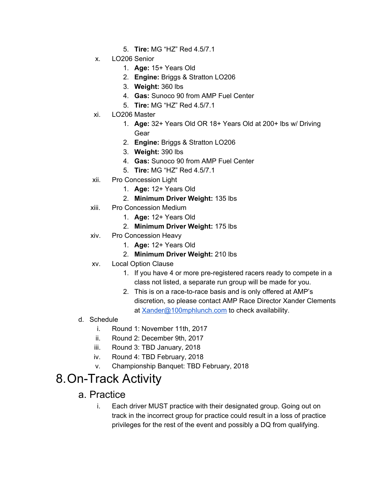- 5. **Tire:** MG "HZ" Red 4.5/7.1
- x. LO206 Senior
	- 1. **Age:** 15+ Years Old
	- 2. **Engine:** Briggs & Stratton LO206
	- 3. **Weight:** 360 lbs
	- 4. **Gas:** Sunoco 90 from AMP Fuel Center
	- 5. **Tire:** MG "HZ" Red 4.5/7.1
- xi. LO206 Master
	- 1. **Age:** 32+ Years Old OR 18+ Years Old at 200+ lbs w/ Driving Gear
	- 2. **Engine:** Briggs & Stratton LO206
	- 3. **Weight:** 390 lbs
	- 4. **Gas:** Sunoco 90 from AMP Fuel Center
	- 5. **Tire:** MG "HZ" Red 4.5/7.1
- xii. Pro Concession Light
	- 1. **Age:** 12+ Years Old
	- 2. **Minimum Driver Weight:** 135 lbs
- xiii. Pro Concession Medium
	- 1. **Age:** 12+ Years Old
	- 2. **Minimum Driver Weight:** 175 lbs
- xiv. Pro Concession Heavy
	- 1. **Age:** 12+ Years Old
	- 2. **Minimum Driver Weight:** 210 lbs
- xv. Local Option Clause
	- 1. If you have 4 or more pre-registered racers ready to compete in a class not listed, a separate run group will be made for you.
	- 2. This is on a race-to-race basis and is only offered at AMP's discretion, so please contact AMP Race Director Xander Clements at [Xander@100mphlunch.com](mailto:Xander@100mphlunch.com) to check availability.
- d. Schedule
	- i. Round 1: November 11th, 2017
	- ii. Round 2: December 9th, 2017
	- iii. Round 3: TBD January, 2018
	- iv. Round 4: TBD February, 2018
	- v. Championship Banquet: TBD February, 2018

## <span id="page-12-1"></span><span id="page-12-0"></span>8.On-Track Activity

#### a. Practice

i. Each driver MUST practice with their designated group. Going out on track in the incorrect group for practice could result in a loss of practice privileges for the rest of the event and possibly a DQ from qualifying.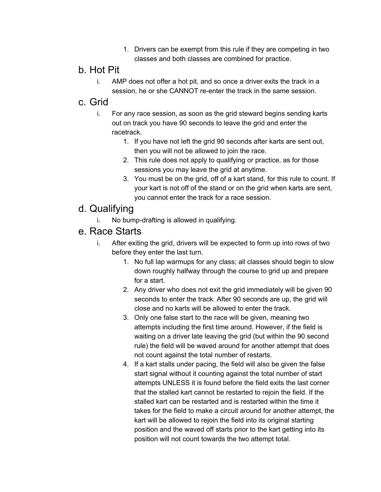1. Drivers can be exempt from this rule if they are competing in two classes and both classes are combined for practice.

#### <span id="page-13-0"></span>b. Hot Pit

i. AMP does not offer a hot pit, and so once a driver exits the track in a session, he or she CANNOT re-enter the track in the same session.

#### <span id="page-13-1"></span>c. Grid

- i. For any race session, as soon as the grid steward begins sending karts out on track you have 90 seconds to leave the grid and enter the racetrack.
	- 1. If you have not left the grid 90 seconds after karts are sent out, then you will not be allowed to join the race.
	- 2. This rule does not apply to qualifying or practice, as for those sessions you may leave the grid at anytime.
	- 3. You must be on the grid, off of a kart stand, for this rule to count. If your kart is not off of the stand or on the grid when karts are sent, you cannot enter the track for a race session.

### <span id="page-13-2"></span>d. Qualifying

i. No bump-drafting is allowed in qualifying.

### <span id="page-13-3"></span>e. Race Starts

- i. After exiting the grid, drivers will be expected to form up into rows of two before they enter the last turn.
	- 1. No full lap warmups for any class; all classes should begin to slow down roughly halfway through the course to grid up and prepare for a start.
	- 2. Any driver who does not exit the grid immediately will be given 90 seconds to enter the track. After 90 seconds are up, the grid will close and no karts will be allowed to enter the track.
	- 3. Only one false start to the race will be given, meaning two attempts including the first time around. However, if the field is waiting on a driver late leaving the grid (but within the 90 second rule) the field will be waved around for another attempt that does not count against the total number of restarts.
	- 4. If a kart stalls under pacing, the field will also be given the false start signal without it counting against the total number of start attempts UNLESS it is found before the field exits the last corner that the stalled kart cannot be restarted to rejoin the field. If the stalled kart can be restarted and is restarted within the time it takes for the field to make a circuit around for another attempt, the kart will be allowed to rejoin the field into its original starting position and the waved off starts prior to the kart getting into its position will not count towards the two attempt total.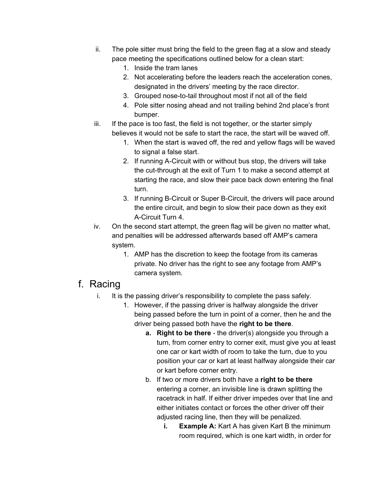- ii. The pole sitter must bring the field to the green flag at a slow and steady pace meeting the specifications outlined below for a clean start:
	- 1. Inside the tram lanes
	- 2. Not accelerating before the leaders reach the acceleration cones, designated in the drivers' meeting by the race director.
	- 3. Grouped nose-to-tail throughout most if not all of the field
	- 4. Pole sitter nosing ahead and not trailing behind 2nd place's front bumper.
- iii. If the pace is too fast, the field is not together, or the starter simply believes it would not be safe to start the race, the start will be waved off.
	- 1. When the start is waved off, the red and yellow flags will be waved to signal a false start.
	- 2. If running A-Circuit with or without bus stop, the drivers will take the cut-through at the exit of Turn 1 to make a second attempt at starting the race, and slow their pace back down entering the final turn.
	- 3. If running B-Circuit or Super B-Circuit, the drivers will pace around the entire circuit, and begin to slow their pace down as they exit A-Circuit Turn 4.
- iv. On the second start attempt, the green flag will be given no matter what, and penalties will be addressed afterwards based off AMP's camera system.
	- 1. AMP has the discretion to keep the footage from its cameras private. No driver has the right to see any footage from AMP's camera system.

#### <span id="page-14-0"></span>f. Racing

- i. It is the passing driver's responsibility to complete the pass safely.
	- 1. However, if the passing driver is halfway alongside the driver being passed before the turn in point of a corner, then he and the driver being passed both have the **right to be there**.
		- **a. Right to be there** the driver(s) alongside you through a turn, from corner entry to corner exit, must give you at least one car or kart width of room to take the turn, due to you position your car or kart at least halfway alongside their car or kart before corner entry.
		- b. If two or more drivers both have a **right to be there** entering a corner, an invisible line is drawn splitting the racetrack in half. If either driver impedes over that line and either initiates contact or forces the other driver off their adjusted racing line, then they will be penalized.
			- **i. Example A:** Kart A has given Kart B the minimum room required, which is one kart width, in order for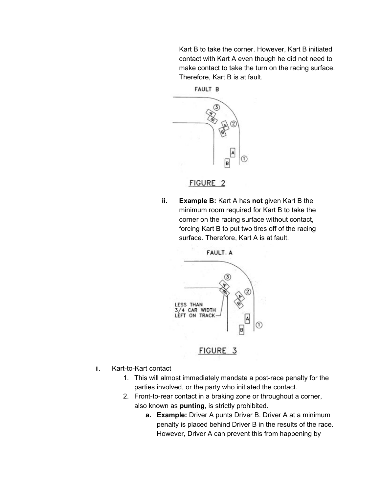Kart B to take the corner. However, Kart B initiated contact with Kart A even though he did not need to make contact to take the turn on the racing surface. Therefore, Kart B is at fault.



FIGURE 2

**ii. Example B:** Kart A has **not** given Kart B the minimum room required for Kart B to take the corner on the racing surface without contact, forcing Kart B to put two tires off of the racing surface. Therefore, Kart A is at fault.



FIGURE 3

- ii. Kart-to-Kart contact
	- 1. This will almost immediately mandate a post-race penalty for the parties involved, or the party who initiated the contact.
	- 2. Front-to-rear contact in a braking zone or throughout a corner, also known as **punting**, is strictly prohibited.
		- **a. Example:** Driver A punts Driver B. Driver A at a minimum penalty is placed behind Driver B in the results of the race. However, Driver A can prevent this from happening by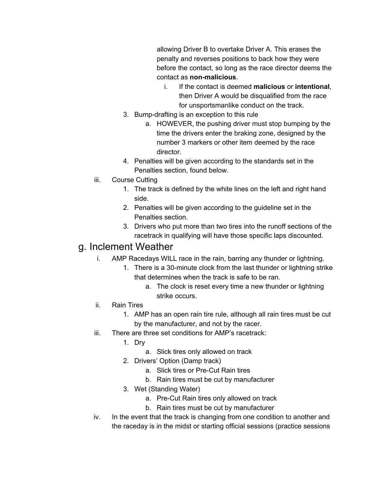allowing Driver B to overtake Driver A. This erases the penalty and reverses positions to back how they were before the contact, so long as the race director deems the contact as **non-malicious**.

- i. If the contact is deemed **malicious** or **intentional**, then Driver A would be disqualified from the race for unsportsmanlike conduct on the track.
- 3. Bump-drafting is an exception to this rule
	- a. HOWEVER, the pushing driver must stop bumping by the time the drivers enter the braking zone, designed by the number 3 markers or other item deemed by the race director.
- 4. Penalties will be given according to the standards set in the Penalties section, found below.
- iii. Course Cutting
	- 1. The track is defined by the white lines on the left and right hand side.
	- 2. Penalties will be given according to the guideline set in the Penalties section.
	- 3. Drivers who put more than two tires into the runoff sections of the racetrack in qualifying will have those specific laps discounted.

### <span id="page-16-0"></span>g. Inclement Weather

- i. AMP Racedays WILL race in the rain, barring any thunder or lightning.
	- 1. There is a 30-minute clock from the last thunder or lightning strike that determines when the track is safe to be ran.
		- a. The clock is reset every time a new thunder or lightning strike occurs.
- ii. Rain Tires
	- 1. AMP has an open rain tire rule, although all rain tires must be cut by the manufacturer, and not by the racer.
- iii. There are three set conditions for AMP's racetrack:
	- 1. Dry
		- a. Slick tires only allowed on track
	- 2. Drivers' Option (Damp track)
		- a. Slick tires or Pre-Cut Rain tires
		- b. Rain tires must be cut by manufacturer
	- 3. Wet (Standing Water)
		- a. Pre-Cut Rain tires only allowed on track
		- b. Rain tires must be cut by manufacturer
- iv. In the event that the track is changing from one condition to another and the raceday is in the midst or starting official sessions (practice sessions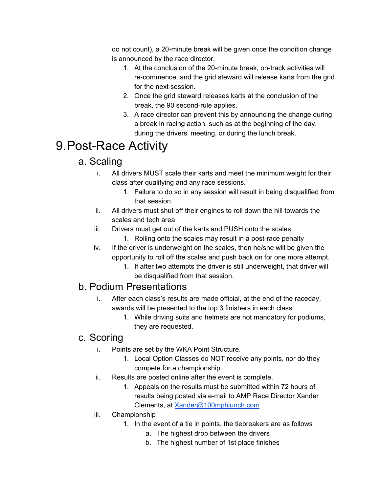do not count), a 20-minute break will be given once the condition change is announced by the race director.

- 1. At the conclusion of the 20-minute break, on-track activities will re-commence, and the grid steward will release karts from the grid for the next session.
- 2. Once the grid steward releases karts at the conclusion of the break, the 90 second-rule applies.
- 3. A race director can prevent this by announcing the change during a break in racing action, such as at the beginning of the day, during the drivers' meeting, or during the lunch break.

# <span id="page-17-1"></span><span id="page-17-0"></span>9.Post-Race Activity

### a. Scaling

- i. All drivers MUST scale their karts and meet the minimum weight for their class after qualifying and any race sessions.
	- 1. Failure to do so in any session will result in being disqualified from that session.
- ii. All drivers must shut off their engines to roll down the hill towards the scales and tech area
- iii. Drivers must get out of the karts and PUSH onto the scales
	- 1. Rolling onto the scales may result in a post-race penalty
- iv. If the driver is underweight on the scales, then he/she will be given the opportunity to roll off the scales and push back on for one more attempt.
	- 1. If after two attempts the driver is still underweight, that driver will be disqualified from that session.

### <span id="page-17-2"></span>b. Podium Presentations

- i. After each class's results are made official, at the end of the raceday, awards will be presented to the top 3 finishers in each class
	- 1. While driving suits and helmets are not mandatory for podiums, they are requested.

### <span id="page-17-3"></span>c. Scoring

- i. Points are set by the WKA Point Structure.
	- 1. Local Option Classes do NOT receive any points, nor do they compete for a championship
- ii. Results are posted online after the event is complete.
	- 1. Appeals on the results must be submitted within 72 hours of results being posted via e-mail to AMP Race Director Xander Clements, at [Xander@100mphlunch.com](mailto:Xander@100mphlunch.com)
- iii. Championship
	- 1. In the event of a tie in points, the tiebreakers are as follows
		- a. The highest drop between the drivers
		- b. The highest number of 1st place finishes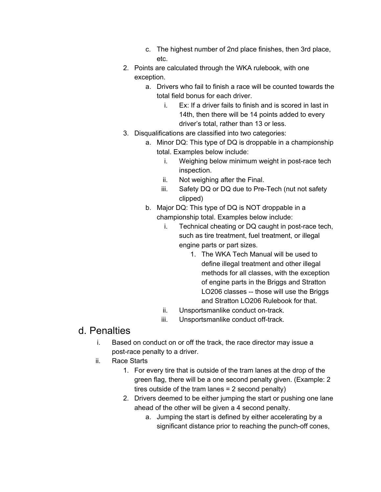- c. The highest number of 2nd place finishes, then 3rd place, etc.
- 2. Points are calculated through the WKA rulebook, with one exception.
	- a. Drivers who fail to finish a race will be counted towards the total field bonus for each driver.
		- i. Ex: If a driver fails to finish and is scored in last in 14th, then there will be 14 points added to every driver's total, rather than 13 or less.
- 3. Disqualifications are classified into two categories:
	- a. Minor DQ: This type of DQ is droppable in a championship total. Examples below include:
		- i. Weighing below minimum weight in post-race tech inspection.
		- ii. Not weighing after the Final.
		- iii. Safety DQ or DQ due to Pre-Tech (nut not safety clipped)
	- b. Major DQ: This type of DQ is NOT droppable in a championship total. Examples below include:
		- i. Technical cheating or DQ caught in post-race tech, such as tire treatment, fuel treatment, or illegal engine parts or part sizes.
			- 1. The WKA Tech Manual will be used to define illegal treatment and other illegal methods for all classes, with the exception of engine parts in the Briggs and Stratton LO206 classes -- those will use the Briggs and Stratton LO206 Rulebook for that.
		- ii. Unsportsmanlike conduct on-track.
		- iii. Unsportsmanlike conduct off-track.

### <span id="page-18-0"></span>d. Penalties

- i. Based on conduct on or off the track, the race director may issue a post-race penalty to a driver.
- ii. Race Starts
	- 1. For every tire that is outside of the tram lanes at the drop of the green flag, there will be a one second penalty given. (Example: 2 tires outside of the tram lanes = 2 second penalty)
	- 2. Drivers deemed to be either jumping the start or pushing one lane ahead of the other will be given a 4 second penalty.
		- a. Jumping the start is defined by either accelerating by a significant distance prior to reaching the punch-off cones,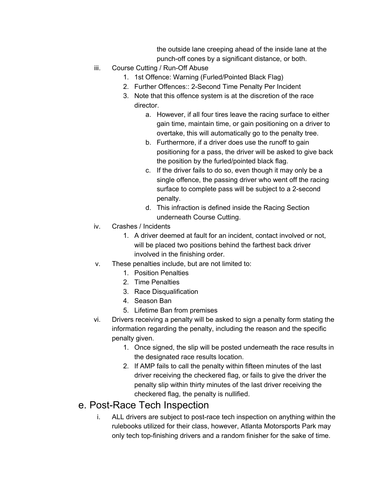the outside lane creeping ahead of the inside lane at the punch-off cones by a significant distance, or both.

- iii. Course Cutting / Run-Off Abuse
	- 1. 1st Offence: Warning (Furled/Pointed Black Flag)
	- 2. Further Offences:: 2-Second Time Penalty Per Incident
	- 3. Note that this offence system is at the discretion of the race director.
		- a. However, if all four tires leave the racing surface to either gain time, maintain time, or gain positioning on a driver to overtake, this will automatically go to the penalty tree.
		- b. Furthermore, if a driver does use the runoff to gain positioning for a pass, the driver will be asked to give back the position by the furled/pointed black flag.
		- c. If the driver fails to do so, even though it may only be a single offence, the passing driver who went off the racing surface to complete pass will be subject to a 2-second penalty.
		- d. This infraction is defined inside the Racing Section underneath Course Cutting.
- iv. Crashes / Incidents
	- 1. A driver deemed at fault for an incident, contact involved or not, will be placed two positions behind the farthest back driver involved in the finishing order.
- v. These penalties include, but are not limited to:
	- 1. Position Penalties
	- 2. Time Penalties
	- 3. Race Disqualification
	- 4. Season Ban
	- 5. Lifetime Ban from premises
- vi. Drivers receiving a penalty will be asked to sign a penalty form stating the information regarding the penalty, including the reason and the specific penalty given.
	- 1. Once signed, the slip will be posted underneath the race results in the designated race results location.
	- 2. If AMP fails to call the penalty within fifteen minutes of the last driver receiving the checkered flag, or fails to give the driver the penalty slip within thirty minutes of the last driver receiving the checkered flag, the penalty is nullified.

### <span id="page-19-0"></span>e. Post-Race Tech Inspection

i. ALL drivers are subject to post-race tech inspection on anything within the rulebooks utilized for their class, however, Atlanta Motorsports Park may only tech top-finishing drivers and a random finisher for the sake of time.